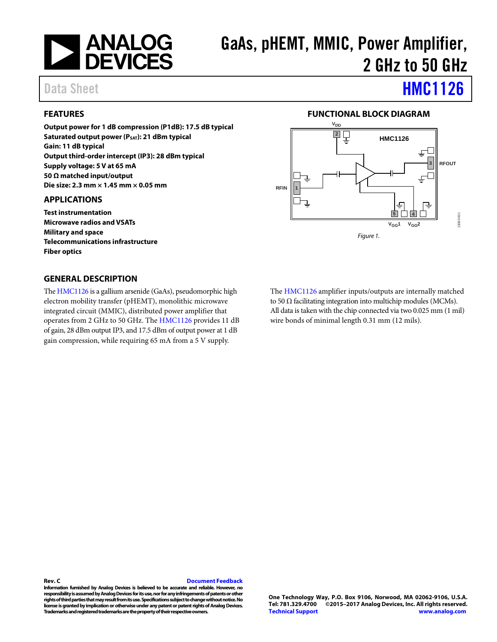

# GaAs, pHEMT, MMIC, Power Amplifier, 2 GHz to 50 GHz

# Data Sheet **[HMC1126](http://www.analog.com/HMC1126?doc=HMC1126.pdf)**

### <span id="page-0-0"></span>**FEATURES**

**Output power for 1 dB compression (P1dB): 17.5 dB typical Saturated output power (PSAT): 21 dBm typical Gain: 11 dB typical Output third-order intercept (IP3): 28 dBm typical Supply voltage: 5 V at 65 mA 50 Ω matched input/output Die size: 2.3 mm × 1.45 mm × 0.05 mm** 

#### <span id="page-0-1"></span>**APPLICATIONS**

**Test instrumentation Microwave radios and VSATs Military and space Telecommunications infrastructure Fiber optics**

#### <span id="page-0-3"></span>**GENERAL DESCRIPTION**

Th[e HMC1126](http://www.analog.com/HMC1126?doc=HMC1126.pdf) is a gallium arsenide (GaAs), pseudomorphic high electron mobility transfer (pHEMT), monolithic microwave integrated circuit (MMIC), distributed power amplifier that operates from 2 GHz to 50 GHz. The [HMC1126](http://www.analog.com/HMC1126?doc=HMC1126.pdf) provides 11 dB of gain, 28 dBm output IP3, and 17.5 dBm of output power at 1 dB gain compression, while requiring 65 mA from a 5 V supply.

#### **FUNCTIONAL BLOCK DIAGRAM**

<span id="page-0-2"></span>

The [HMC1126](http://www.analog.com/HMC1126?doc=HMC1126.pdf) amplifier inputs/outputs are internally matched to 50  $\Omega$  facilitating integration into multichip modules (MCMs). All data is taken with the chip connected via two 0.025 mm (1 mil) wire bonds of minimal length 0.31 mm (12 mils).

#### **Rev. C [Document Feedback](https://form.analog.com/Form_Pages/feedback/documentfeedback.aspx?doc=HMC1126.pdf&product=HMC1126&rev=C)**

**Information furnished by Analog Devices is believed to be accurate and reliable. However, no responsibility is assumed by Analog Devices for its use, nor for any infringements of patents or other rights of third parties that may result from its use. Specifications subject to change without notice. No license is granted by implication or otherwise under any patent or patent rights of Analog Devices. Trademarks and registered trademarks are the property of their respective owners.**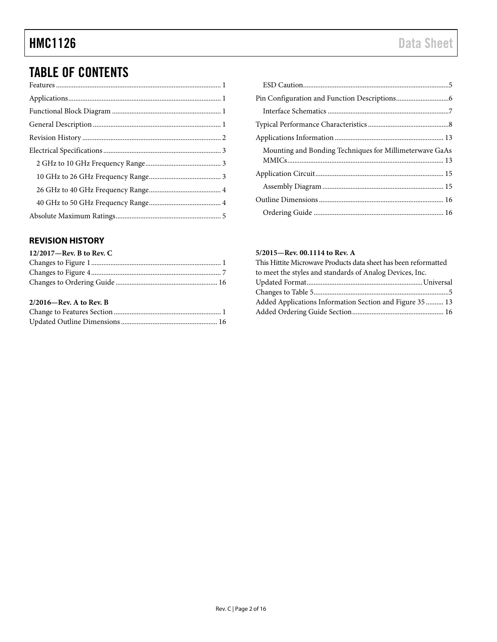### TABLE OF CONTENTS

### <span id="page-1-0"></span>**REVISION HISTORY**

| $12/2017$ —Rev. B to Rev. C |  |
|-----------------------------|--|
|                             |  |
|                             |  |
|                             |  |
| $2/2016$ —Rev. A to Rev. B  |  |
|                             |  |
|                             |  |

| Mounting and Bonding Techniques for Millimeterwave GaAs |
|---------------------------------------------------------|
|                                                         |
|                                                         |
|                                                         |
|                                                         |

#### **5/2015—Rev. 00.1114 to Rev. A**

| This Hittite Microwave Products data sheet has been reformatted |  |
|-----------------------------------------------------------------|--|
| to meet the styles and standards of Analog Devices, Inc.        |  |
|                                                                 |  |
|                                                                 |  |
| Added Applications Information Section and Figure 35  13        |  |
|                                                                 |  |
|                                                                 |  |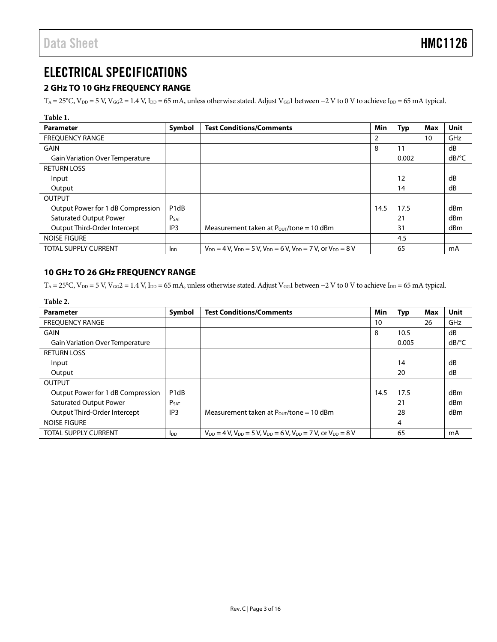### <span id="page-2-0"></span>ELECTRICAL SPECIFICATIONS

### <span id="page-2-1"></span>**2 GHz TO 10 GHz FREQUENCY RANGE**

 $T_A = 25$ °C, V<sub>DD</sub> = 5 V, V<sub>GG</sub>2 = 1.4 V, I<sub>DD</sub> = 65 mA, unless otherwise stated. Adjust V<sub>GG</sub>1 between −2 V to 0 V to achieve I<sub>DD</sub> = 65 mA typical.

| ı<br>I<br>ш<br>w<br>۰,<br>×<br>۰.<br>۰, |
|-----------------------------------------|
|-----------------------------------------|

| Parameter                              | Symbol                        | <b>Test Conditions/Comments</b>                                                       | Min  | <b>Typ</b> | Max | Unit                  |
|----------------------------------------|-------------------------------|---------------------------------------------------------------------------------------|------|------------|-----|-----------------------|
| <b>FREQUENCY RANGE</b>                 |                               |                                                                                       | 2    |            | 10  | GHz                   |
| <b>GAIN</b>                            |                               |                                                                                       | 8    | 11         |     | dB                    |
| <b>Gain Variation Over Temperature</b> |                               |                                                                                       |      | 0.002      |     | $dB$ <sup>o</sup> $C$ |
| <b>RETURN LOSS</b>                     |                               |                                                                                       |      |            |     |                       |
| Input                                  |                               |                                                                                       |      | 12         |     | dB                    |
| Output                                 |                               |                                                                                       |      | 14         |     | dB                    |
| <b>OUTPUT</b>                          |                               |                                                                                       |      |            |     |                       |
| Output Power for 1 dB Compression      | P <sub>1</sub> d <sub>B</sub> |                                                                                       | 14.5 | 17.5       |     | dBm                   |
| <b>Saturated Output Power</b>          | P <sub>SAT</sub>              |                                                                                       |      | 21         |     | dBm                   |
| Output Third-Order Intercept           | IP <sub>3</sub>               | Measurement taken at $P_{\text{OUT}}/$ tone = 10 dBm                                  |      | 31         |     | dBm                   |
| <b>NOISE FIGURE</b>                    |                               |                                                                                       |      | 4.5        |     |                       |
| <b>TOTAL SUPPLY CURRENT</b>            | <b>I</b> pp                   | $V_{DD} = 4 V$ , $V_{DD} = 5 V$ , $V_{DD} = 6 V$ , $V_{DD} = 7 V$ , or $V_{DD} = 8 V$ |      | 65         |     | mA                    |

### <span id="page-2-2"></span>**10 GHz TO 26 GHz FREQUENCY RANGE**

T<sub>A</sub> = 25°C, V<sub>DD</sub> = 5 V, V<sub>GG</sub>2 = 1.4 V, I<sub>DD</sub> = 65 mA, unless otherwise stated. Adjust V<sub>GG</sub>1 between −2 V to 0 V to achieve I<sub>DD</sub> = 65 mA typical.

| Table 2.                               |                               |                                                                                       |      |            |     |                       |
|----------------------------------------|-------------------------------|---------------------------------------------------------------------------------------|------|------------|-----|-----------------------|
| Parameter                              | Symbol                        | <b>Test Conditions/Comments</b>                                                       | Min  | <b>Typ</b> | Max | <b>Unit</b>           |
| <b>FREQUENCY RANGE</b>                 |                               |                                                                                       | 10   |            | 26  | GHz                   |
| <b>GAIN</b>                            |                               |                                                                                       | 8    | 10.5       |     | dB                    |
| <b>Gain Variation Over Temperature</b> |                               |                                                                                       |      | 0.005      |     | $dB$ <sup>o</sup> $C$ |
| <b>RETURN LOSS</b>                     |                               |                                                                                       |      |            |     |                       |
| Input                                  |                               |                                                                                       |      | 14         |     | dB                    |
| Output                                 |                               |                                                                                       |      | 20         |     | dB                    |
| <b>OUTPUT</b>                          |                               |                                                                                       |      |            |     |                       |
| Output Power for 1 dB Compression      | P <sub>1</sub> d <sub>B</sub> |                                                                                       | 14.5 | 17.5       |     | dBm                   |
| <b>Saturated Output Power</b>          | P <sub>SAT</sub>              |                                                                                       |      | 21         |     | dBm                   |
| Output Third-Order Intercept           | IP <sub>3</sub>               | Measurement taken at $P_{\text{OUT}}$ /tone = 10 dBm                                  |      | 28         |     | dBm                   |
| <b>NOISE FIGURE</b>                    |                               |                                                                                       |      | 4          |     |                       |
| <b>TOTAL SUPPLY CURRENT</b>            | <b>I</b> DD                   | $V_{DD} = 4 V$ , $V_{DD} = 5 V$ , $V_{DD} = 6 V$ , $V_{DD} = 7 V$ , or $V_{DD} = 8 V$ |      | 65         |     | mA                    |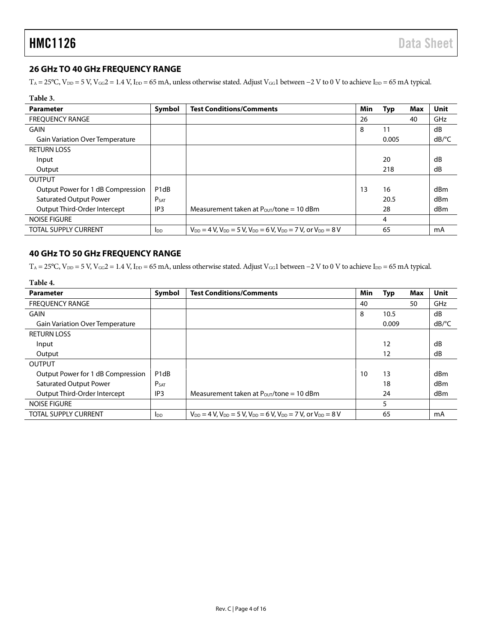#### <span id="page-3-0"></span>**26 GHz TO 40 GHz FREQUENCY RANGE**

T<sub>A</sub> = 25°C, V<sub>DD</sub> = 5 V, V<sub>GG</sub>2 = 1.4 V, I<sub>DD</sub> = 65 mA, unless otherwise stated. Adjust V<sub>GG</sub>1 between −2 V to 0 V to achieve I<sub>DD</sub> = 65 mA typical.

| Table 3.                               |                               |                                                                                       |     |       |     |                       |
|----------------------------------------|-------------------------------|---------------------------------------------------------------------------------------|-----|-------|-----|-----------------------|
| <b>Parameter</b>                       | Symbol                        | <b>Test Conditions/Comments</b>                                                       | Min | Typ   | Max | Unit                  |
| <b>FREQUENCY RANGE</b>                 |                               |                                                                                       | 26  |       | 40  | GHz                   |
| GAIN                                   |                               |                                                                                       | 8   | 11    |     | dB                    |
| <b>Gain Variation Over Temperature</b> |                               |                                                                                       |     | 0.005 |     | $dB$ <sup>o</sup> $C$ |
| <b>RETURN LOSS</b>                     |                               |                                                                                       |     |       |     |                       |
| Input                                  |                               |                                                                                       |     | 20    |     | dB                    |
| Output                                 |                               |                                                                                       |     | 218   |     | dB                    |
| <b>OUTPUT</b>                          |                               |                                                                                       |     |       |     |                       |
| Output Power for 1 dB Compression      | P <sub>1</sub> d <sub>B</sub> |                                                                                       | 13  | 16    |     | dBm                   |
| <b>Saturated Output Power</b>          | <b>PSAT</b>                   |                                                                                       |     | 20.5  |     | dBm                   |
| Output Third-Order Intercept           | IP <sub>3</sub>               | Measurement taken at $P_{OUT}/$ tone = 10 dBm                                         |     | 28    |     | dBm                   |
| NOISE FIGURE                           |                               |                                                                                       |     | 4     |     |                       |
| <b>TOTAL SUPPLY CURRENT</b>            | <b>I</b> <sub>DD</sub>        | $V_{DD} = 4 V$ , $V_{DD} = 5 V$ , $V_{DD} = 6 V$ , $V_{DD} = 7 V$ , or $V_{DD} = 8 V$ |     | 65    |     | mA                    |

#### <span id="page-3-1"></span>**40 GHz TO 50 GHz FREQUENCY RANGE**

 $T_A = 25^{\circ}$ C,  $V_{DD} = 5$  V,  $V_{GG} = 1.4$  V,  $I_{DD} = 65$  mA, unless otherwise stated. Adjust  $V_{GG}1$  between  $-2$  V to 0 V to achieve  $I_{DD} = 65$  mA typical.

#### **Table 4.**

| <b>Parameter</b>                       | Symbol                        | <b>Test Conditions/Comments</b>                                                       | Min | <b>Typ</b> | Max | Unit                |
|----------------------------------------|-------------------------------|---------------------------------------------------------------------------------------|-----|------------|-----|---------------------|
| <b>FREOUENCY RANGE</b>                 |                               |                                                                                       | 40  |            | 50  | GHz                 |
| GAIN                                   |                               |                                                                                       | 8   | 10.5       |     | dB                  |
| <b>Gain Variation Over Temperature</b> |                               |                                                                                       |     | 0.009      |     | $dB$ <sup>o</sup> C |
| <b>RETURN LOSS</b>                     |                               |                                                                                       |     |            |     |                     |
| Input                                  |                               |                                                                                       |     | 12         |     | dB                  |
| Output                                 |                               |                                                                                       |     | 12         |     | dB                  |
| <b>OUTPUT</b>                          |                               |                                                                                       |     |            |     |                     |
| Output Power for 1 dB Compression      | P <sub>1</sub> d <sub>B</sub> |                                                                                       | 10  | 13         |     | dBm                 |
| <b>Saturated Output Power</b>          | P <sub>SAT</sub>              |                                                                                       |     | 18         |     | dBm                 |
| Output Third-Order Intercept           | IP <sub>3</sub>               | Measurement taken at $P_{\text{OUT}}/$ tone = 10 dBm                                  |     | 24         |     | dBm                 |
| <b>NOISE FIGURE</b>                    |                               |                                                                                       |     | 5          |     |                     |
| TOTAL SUPPLY CURRENT                   | <b>I</b> DD                   | $V_{DD} = 4 V$ , $V_{DD} = 5 V$ , $V_{DD} = 6 V$ , $V_{DD} = 7 V$ , or $V_{DD} = 8 V$ |     | 65         |     | mA                  |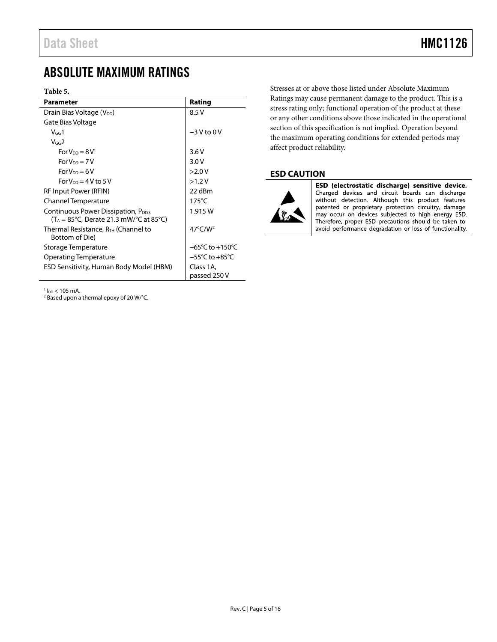### <span id="page-4-0"></span>ABSOLUTE MAXIMUM RATINGS

#### **Table 5.**

| <b>Parameter</b>                                                                                                         | Rating                              |  |  |
|--------------------------------------------------------------------------------------------------------------------------|-------------------------------------|--|--|
| Drain Bias Voltage (V <sub>DD</sub> )                                                                                    | 8.5 V                               |  |  |
| Gate Bias Voltage                                                                                                        |                                     |  |  |
| $V_{GG}1$                                                                                                                | $-3V$ to 0 V                        |  |  |
| $V$ GG $2$                                                                                                               |                                     |  |  |
| $For VDD = 8 V1$                                                                                                         | 3.6V                                |  |  |
| $For VDD = 7 V$                                                                                                          | 3.0V                                |  |  |
| $For VDD = 6 V$                                                                                                          | >2.0V                               |  |  |
| For $V_{DD} = 4V$ to 5 V                                                                                                 | >1.2 V                              |  |  |
| RF Input Power (RFIN)                                                                                                    | 22 dBm                              |  |  |
| Channel Temperature                                                                                                      | $175^{\circ}$ C                     |  |  |
| Continuous Power Dissipation, P <sub>DISS</sub><br>$(T_A = 85^{\circ}C,$ Derate 21.3 mW/ $^{\circ}C$ at 85 $^{\circ}C$ ) | 1.915 W                             |  |  |
| Thermal Resistance, R <sub>TH</sub> (Channel to<br>Bottom of Die)                                                        | $47^{\circ}$ C/W <sup>2</sup>       |  |  |
| Storage Temperature                                                                                                      | $-65^{\circ}$ C to $+150^{\circ}$ C |  |  |
| Operating Temperature                                                                                                    | $-55^{\circ}$ C to $+85^{\circ}$ C  |  |  |
| ESD Sensitivity, Human Body Model (HBM)                                                                                  | Class 1A,<br>passed 250 V           |  |  |

 $1_{\text{DD}}$  < 105 mA.

<sup>2</sup> Based upon a thermal epoxy of 20 W/°C.

Stresses at or above those listed under Absolute Maximum Ratings may cause permanent damage to the product. This is a stress rating only; functional operation of the product at these or any other conditions above those indicated in the operational section of this specification is not implied. Operation beyond the maximum operating conditions for extended periods may affect product reliability.

#### <span id="page-4-1"></span>**ESD CAUTION**



ESD (electrostatic discharge) sensitive device. Charged devices and circuit boards can discharge<br>without detection. Although this product features patented or proprietary protection circuitry, damage may occur on devices subjected to high energy ESD.<br>Therefore, proper ESD precautions should be taken to avoid performance degradation or loss of functionality.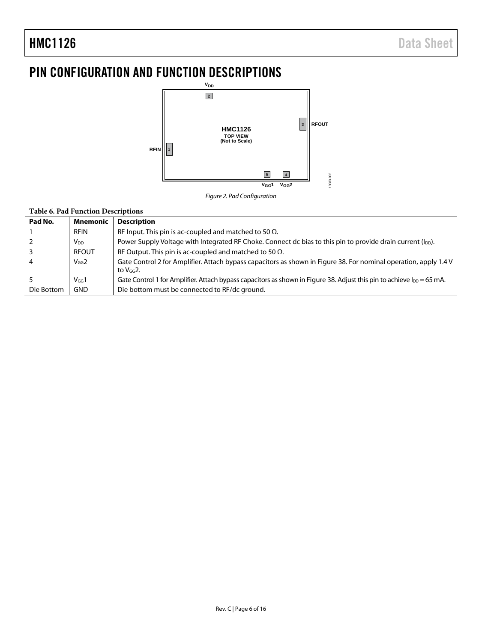## <span id="page-5-0"></span>PIN CONFIGURATION AND FUNCTION DESCRIPTIONS



*Figure 2. Pad Configuration* 

#### **Table 6. Pad Function Descriptions**

| Pad No.    | <b>Mnemonic</b> | <b>Description</b>                                                                                                                 |
|------------|-----------------|------------------------------------------------------------------------------------------------------------------------------------|
|            | <b>RFIN</b>     | RF Input. This pin is ac-coupled and matched to 50 $\Omega$ .                                                                      |
|            | V <sub>DD</sub> | Power Supply Voltage with Integrated RF Choke. Connect dc bias to this pin to provide drain current (l <sub>DD</sub> ).            |
|            | <b>RFOUT</b>    | RF Output. This pin is ac-coupled and matched to 50 $\Omega$ .                                                                     |
| 4          | $V_{GG}2$       | Gate Control 2 for Amplifier. Attach bypass capacitors as shown in Figure 38. For nominal operation, apply 1.4 V<br>to $V_{GG}$ 2. |
|            | $V$ GG $1$      | Gate Control 1 for Amplifier. Attach bypass capacitors as shown in Figure 38. Adjust this pin to achieve l <sub>DD</sub> = 65 mA.  |
| Die Bottom | <b>GND</b>      | Die bottom must be connected to RF/dc ground.                                                                                      |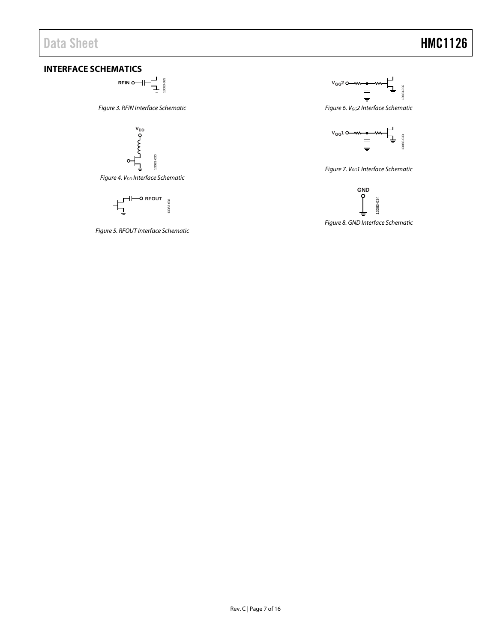## Data Sheet **HMC1126**

### <span id="page-6-0"></span>**INTERFACE SCHEMATICS**

**RFIN O**  $\begin{bmatrix} 1 & 0 \\ 0 & 0 \\ 0 & 0 \\ 0 & 0 \\ 0 & 0 \\ 0 & 0 \\ 0 & 0 \\ 0 & 0 \\ 0 & 0 \\ 0 & 0 \\ 0 & 0 \\ 0 & 0 \\ 0 & 0 \\ 0 & 0 \\ 0 & 0 \\ 0 & 0 \\ 0 & 0 \\ 0 & 0 \\ 0 & 0 \\ 0 & 0 \\ 0 & 0 \\ 0 & 0 \\ 0 & 0 \\ 0 & 0 \\ 0 & 0 \\ 0 & 0 \\ 0 & 0 & 0 \\ 0 & 0 & 0 \\ 0 & 0 & 0 \\ 0 & 0 & 0 \\ 0 & 0 & 0 & 0 \\ 0$ 13083-029

*Figure 3. RFIN Interface Schematic*



**Figure 4. V<sub>DD</sub>** Interface Schematic



*Figure 5. RFOUT Interface Schematic*



*Figure 6. VGG2 Interface Schematic*



*Figure 7. VGG1 Interface Schematic*



*Figure 8. GND Interface Schematic*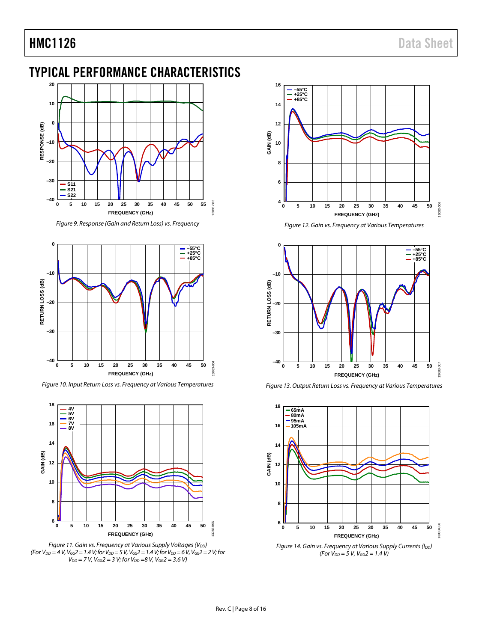### <span id="page-7-0"></span>TYPICAL PERFORMANCE CHARACTERISTICS



*Figure 9. Response (Gain and Return Loss) vs. Frequency*



*Figure 10. Input Return Loss vs. Frequency at Various Temperatures* 



*Figure 11. Gain vs. Frequency at Various Supply Voltages (V<sub>DD</sub>) (For VDD = 4 V, VGG2 = 1.4 V; for VDD = 5 V, VGG2 = 1.4 V; for VDD = 6 V, VGG2 = 2 V; for*   $V_{DD} = 7 V$ ,  $V_{GG} = 3 V$ ; for  $V_{DD} = 8 V$ ,  $V_{GG} = 3.6 V$ )



*Figure 12. Gain vs. Frequency at Various Temperatures*



*Figure 13. Output Return Loss vs. Frequency at Various Temperatures*



*Figure 14. Gain vs. Frequency at Various Supply Currents (I<sub>DD</sub>) (For VDD = 5 V, VGG2 = 1.4 V)*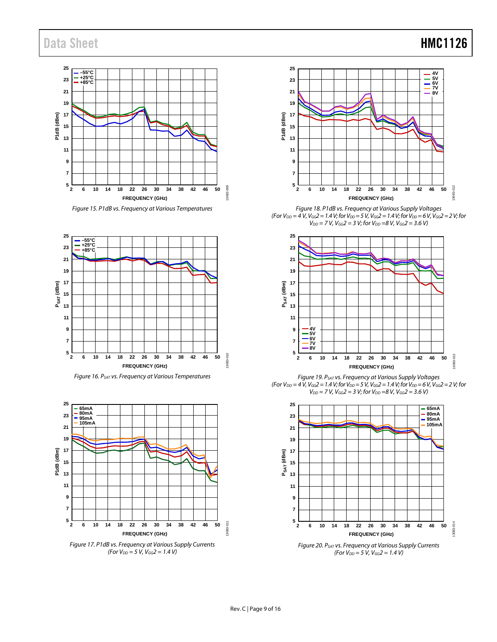### Data Sheet **HMC1126**



*Figure 15. P1dB vs. Frequency at Various Temperatures*



*Figure 16. PSAT vs. Frequency at Various Temperatures*



*Figure 17. P1dB vs. Frequency at Various Supply Currents (For VDD = 5 V, VGG2 = 1.4 V)*



*Figure 18. P1dB vs. Frequency at Various Supply Voltages (For V<sub>DD</sub>* = 4 *V*, *V<sub>GG</sub>2* = 1.4 *V*; for *V<sub>DD</sub>* = 5 *V*, *V<sub>GG</sub>2* = 1.4 *V*; for *V<sub>DD</sub>* = 6 *V*, *V<sub>GG</sub>2* = 2 *V*; for *V<sub>DD</sub>* = 7 *V*, *V<sub>GG</sub>2* = 3 *V;* for *V<sub>DD</sub>* = 8 *V*, *V<sub>GG</sub>2* = 3.6 *V*)



*Figure 19. PSAT vs. Frequency at Various Supply Voltages*   $(For V_{DD} = 4 \bar{V}$ ,  $V_{GG} = 1.4 V$ ; for  $V_{DD} = 5 \bar{V}$ ,  $V_{GG} = 1.4 V$ ; for  $V_{DD} = 6 V$ ,  $V_{GG} = 2 V$ ; for  $V_{DD} = 7 V$ ,  $V_{GG} = 3 V$ ; for  $V_{DD} = 8 V$ ,  $V_{GG} = 3.6 V$ )



*Figure 20. PSAT vs. Frequency at Various Supply Currents*   $(For V_{DD} = 5 \text{ V}, V_{GG} = 1.4 \text{ V})$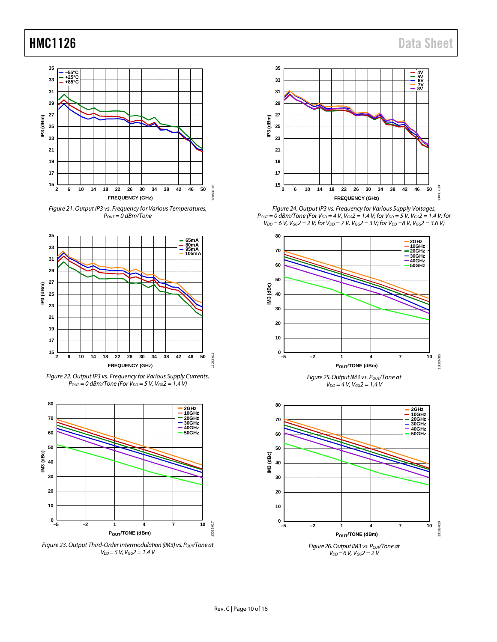





*Figure 22. Output IP3 vs. Frequency for Various Supply Currents,*   $P_{OUT} = 0$  dBm/Tone (For  $V_{DD} = 5$  V,  $V_{GG} = 1.4$  V)



*Figure 23. Output Third-Order Intermodulation (IM3) vs. Pout/Tone at VDD = 5 V, VGG2 = 1.4 V*



*Figure 24. Output IP3 vs. Frequency for Various Supply Voltages, P*<sub>OUT</sub> = 0 dBm/Tone (For  $V_{DD}$  = 4 V,  $V_{GG}$ 2 = 1.4 V; for  $V_{DD}$  = 5 V,  $V_{GG}$ 2 = 1.4 V; for *V<sub>DD</sub>* = 6 *V*, *V<sub>GG</sub>2* = 2 *V;* for *V<sub>DD</sub>* = 7 *V*, *V<sub>GG</sub>2* = 3 *V;* for *V<sub>DD</sub>* =8 *V*, *V<sub>GG</sub>2* = 3.6 *V*)



 $V_{DD} = 4 V$ ,  $V_{GG} = 1.4 V$ 



*VDD = 6 V, VGG2 = 2 V*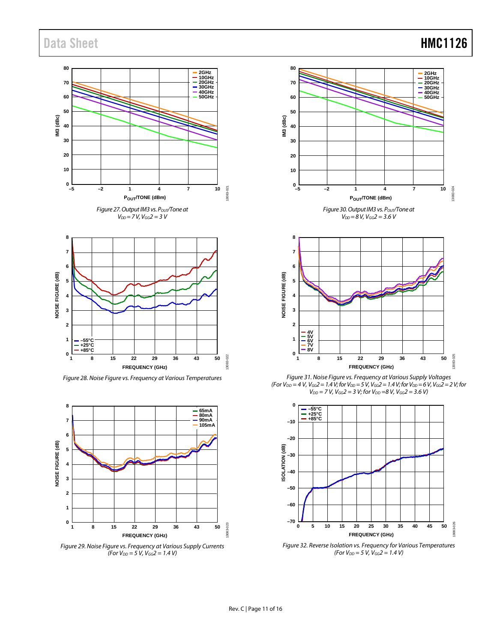## Data Sheet **HMC1126**





*Figure 28. Noise Figure vs. Frequency at Various Temperatures*



*Figure 29. Noise Figure vs. Frequency at Various Supply Currents (For VDD = 5 V, VGG2 = 1.4 V)*





*Figure 31. Noise Figure vs. Frequency at Various Supply Voltages (For V<sub>DD</sub>* = 4 *V*, *V<sub>GG</sub>*2 = 1.4 *V*; for *V<sub>DD</sub>* = 5 *V*, *V<sub>GG</sub>*2 = 1.4 *V*; for *V<sub>DD</sub>* = 6 *V*, *V<sub>GG</sub>*2 = 2 *V*; for  $V_{DD} = 7 V$ ,  $V_{GG} = 3 V$ ; for  $V_{DD} = 8 V$ ,  $V_{GG} = 3.6 V$ )



*Figure 32. Reverse Isolation vs. Frequency for Various Temperatures (For VDD = 5 V, VGG2 = 1.4 V)*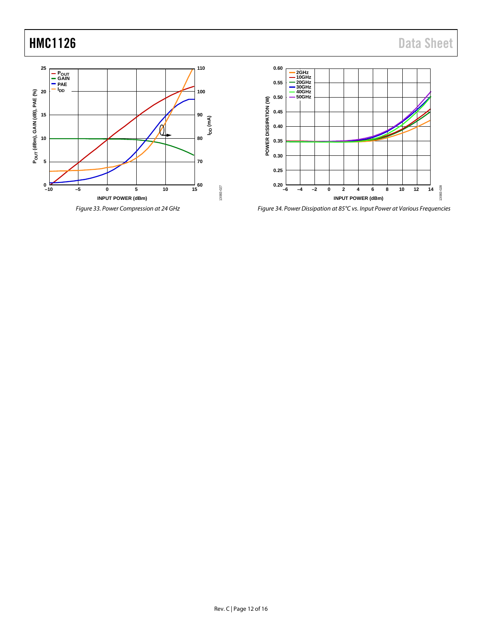## **HMC1126** Data Sheet





*Figure 34. Power Dissipation at 85°C vs. Input Power at Various Frequencies*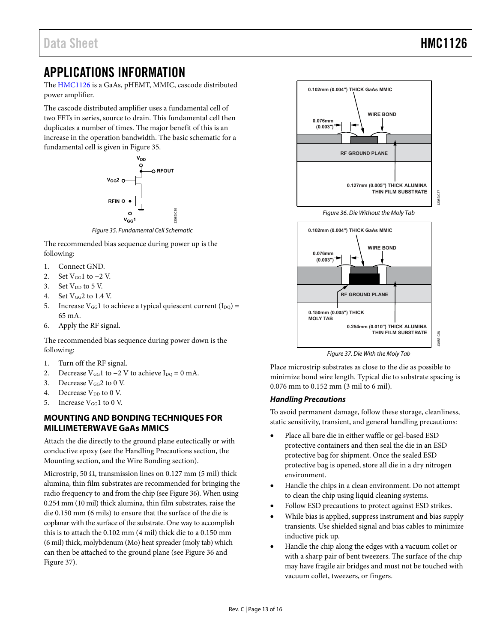### <span id="page-12-0"></span>APPLICATIONS INFORMATION

The [HMC1126 i](http://www.analog.com/HMC1126?doc=HMC1126.pdf)s a GaAs, pHEMT, MMIC, cascode distributed power amplifier.

The cascode distributed amplifier uses a fundamental cell of two FETs in series, source to drain. This fundamental cell then duplicates a number of times. The major benefit of this is an increase in the operation bandwidth. The basic schematic for a fundamental cell is given i[n Figure 35.](#page-12-2)



Figure 35. Fundamental Cell Schematic

<span id="page-12-2"></span>The recommended bias sequence during power up is the following:

- 1. Connect GND.
- 2. Set  $V_{GG}1$  to  $-2$  V.
- 3. Set  $V_{DD}$  to 5 V.
- 4. Set  $V_{GG}$ 2 to 1.4 V.
- 5. Increase  $V_{GG}1$  to achieve a typical quiescent current (I<sub>DQ</sub>) = 65 mA.
- 6. Apply the RF signal.

The recommended bias sequence during power down is the following:

- 1. Turn off the RF signal.
- 2. Decrease  $V_{GG}1$  to  $-2$  V to achieve I<sub>DQ</sub> = 0 mA.
- 3. Decrease  $V_{GG}$ 2 to 0 V.
- 4. Decrease  $V_{DD}$  to 0 V.
- 5. Increase  $V_{GG}1$  to 0 V.

#### <span id="page-12-1"></span>**MOUNTING AND BONDING TECHNIQUES FOR MILLIMETERWAVE GaAs MMICS**

Attach the die directly to the ground plane eutectically or with conductive epoxy (see the [Handling Precautions s](#page-12-3)ection, the [Mounting](#page-13-0) section, and th[e Wire Bonding](#page-13-1) section).

Microstrip, 50  $\Omega$ , transmission lines on 0.127 mm (5 mil) thick alumina, thin film substrates are recommended for bringing the radio frequency to and from the chip (se[e Figure 36\)](#page-12-4). When using 0.254 mm (10 mil) thick alumina, thin film substrates, raise the die 0.150 mm (6 mils) to ensure that the surface of the die is coplanar with the surface of the substrate. One way to accomplish this is to attach the 0.102 mm (4 mil) thick die to a 0.150 mm (6 mil) thick, molybdenum (Mo) heat spreader (moly tab) which can then be attached to the ground plane (se[e Figure 36 a](#page-12-4)nd [Figure 37\)](#page-12-5).

<span id="page-12-4"></span>

Figure 37. Die With the Moly Tab

<span id="page-12-5"></span>Place microstrip substrates as close to the die as possible to minimize bond wire length. Typical die to substrate spacing is 0.076 mm to 0.152 mm (3 mil to 6 mil).

#### <span id="page-12-3"></span>**Handling Precautions**

To avoid permanent damage, follow these storage, cleanliness, static sensitivity, transient, and general handling precautions:

- Place all bare die in either waffle or gel-based ESD protective containers and then seal the die in an ESD protective bag for shipment. Once the sealed ESD protective bag is opened, store all die in a dry nitrogen environment.
- Handle the chips in a clean environment. Do not attempt to clean the chip using liquid cleaning systems.
- Follow ESD precautions to protect against ESD strikes.
- While bias is applied, suppress instrument and bias supply transients. Use shielded signal and bias cables to minimize inductive pick up.
- Handle the chip along the edges with a vacuum collet or with a sharp pair of bent tweezers. The surface of the chip may have fragile air bridges and must not be touched with vacuum collet, tweezers, or fingers.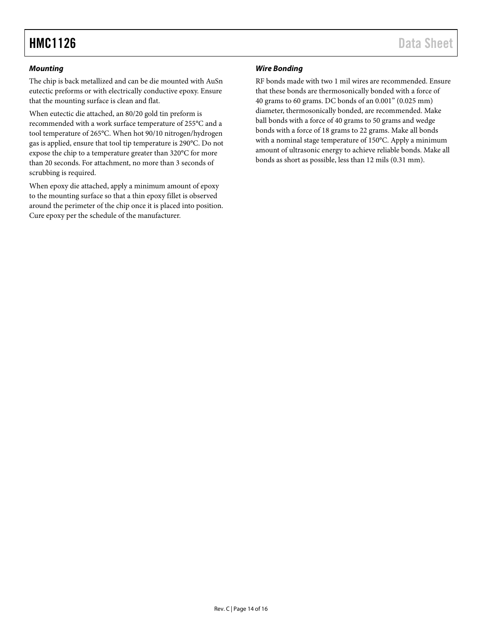#### <span id="page-13-0"></span>*Mounting*

The chip is back metallized and can be die mounted with AuSn eutectic preforms or with electrically conductive epoxy. Ensure that the mounting surface is clean and flat.

When eutectic die attached, an 80/20 gold tin preform is recommended with a work surface temperature of 255°C and a tool temperature of 265°C. When hot 90/10 nitrogen/hydrogen gas is applied, ensure that tool tip temperature is 290°C. Do not expose the chip to a temperature greater than 320°C for more than 20 seconds. For attachment, no more than 3 seconds of scrubbing is required.

When epoxy die attached, apply a minimum amount of epoxy to the mounting surface so that a thin epoxy fillet is observed around the perimeter of the chip once it is placed into position. Cure epoxy per the schedule of the manufacturer.

#### <span id="page-13-1"></span>*Wire Bonding*

RF bonds made with two 1 mil wires are recommended. Ensure that these bonds are thermosonically bonded with a force of 40 grams to 60 grams. DC bonds of an 0.001" (0.025 mm) diameter, thermosonically bonded, are recommended. Make ball bonds with a force of 40 grams to 50 grams and wedge bonds with a force of 18 grams to 22 grams. Make all bonds with a nominal stage temperature of 150°C. Apply a minimum amount of ultrasonic energy to achieve reliable bonds. Make all bonds as short as possible, less than 12 mils (0.31 mm).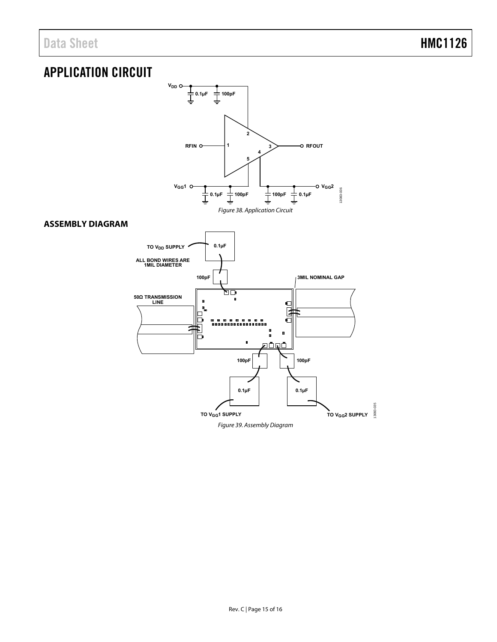## <span id="page-14-0"></span>APPLICATION CIRCUIT

<span id="page-14-2"></span><span id="page-14-1"></span>